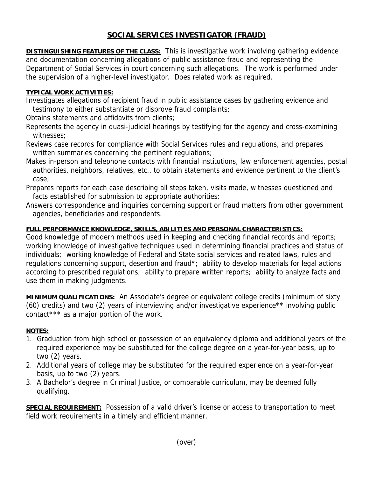## **SOCIAL SERVICES INVESTIGATOR (FRAUD)**

**DISTINGUISHING FEATURES OF THE CLASS:** This is investigative work involving gathering evidence and documentation concerning allegations of public assistance fraud and representing the Department of Social Services in court concerning such allegations. The work is performed under the supervision of a higher-level investigator. Does related work as required.

## **TYPICAL WORK ACTIVITIES:**

Investigates allegations of recipient fraud in public assistance cases by gathering evidence and testimony to either substantiate or disprove fraud complaints;

Obtains statements and affidavits from clients;

- Represents the agency in quasi-judicial hearings by testifying for the agency and cross-examining witnesses;
- Reviews case records for compliance with Social Services rules and regulations, and prepares written summaries concerning the pertinent regulations;
- Makes in-person and telephone contacts with financial institutions, law enforcement agencies, postal authorities, neighbors, relatives, etc., to obtain statements and evidence pertinent to the client's case;
- Prepares reports for each case describing all steps taken, visits made, witnesses questioned and facts established for submission to appropriate authorities;
- Answers correspondence and inquiries concerning support or fraud matters from other government agencies, beneficiaries and respondents.

## **FULL PERFORMANCE KNOWLEDGE, SKILLS, ABILITIES AND PERSONAL CHARACTERISTICS:**

Good knowledge of modern methods used in keeping and checking financial records and reports; working knowledge of investigative techniques used in determining financial practices and status of individuals; working knowledge of Federal and State social services and related laws, rules and regulations concerning support, desertion and fraud\*; ability to develop materials for legal actions according to prescribed regulations; ability to prepare written reports; ability to analyze facts and use them in making judgments.

**MINIMUM QUALIFICATIONS:** An Associate's degree or equivalent college credits (minimum of sixty (60) credits) and two (2) years of interviewing and/or investigative experience\*\* involving public contact\*\*\* as a major portion of the work.

## **NOTES:**

- 1. Graduation from high school or possession of an equivalency diploma and additional years of the required experience may be substituted for the college degree on a year-for-year basis, up to two (2) years.
- 2. Additional years of college may be substituted for the required experience on a year-for-year basis, up to two (2) years.
- 3. A Bachelor's degree in Criminal Justice, or comparable curriculum, may be deemed fully qualifying.

**SPECIAL REQUIREMENT:** Possession of a valid driver's license or access to transportation to meet field work requirements in a timely and efficient manner.